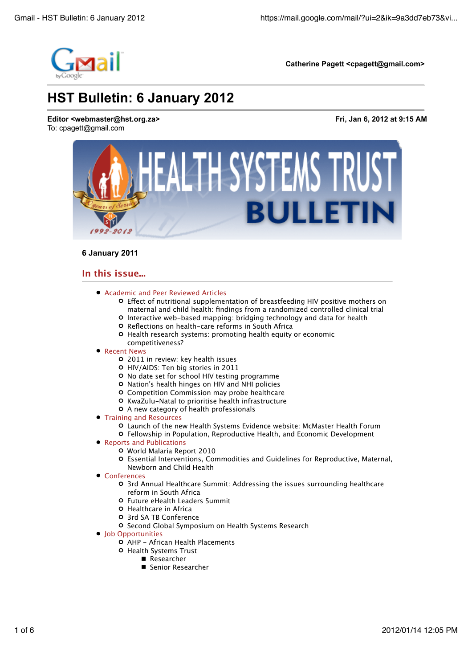

# **6 January 2011**

# **In this issue...**

- Academic and Peer Reviewed Articles
	- O Effect of nutritional supplementation of breastfeeding HIV positive mothers on maternal and child health: findings from a randomized controlled clinical trial
	- Interactive web-based mapping: bridging technology and data for health
	- O Reflections on health-care reforms in South Africa
	- O Health research systems: promoting health equity or economic competitiveness?

## • Recent News

- 2011 in review: key health issues
- HIV/AIDS: Ten big stories in 2011
- No date set for school HIV testing programme
- Nation's health hinges on HIV and NHI policies
- Competition Commission may probe healthcare
- **O** KwaZulu-Natal to prioritise health infrastructure
- A new category of health professionals
- **Training and Resources** 
	- Launch of the new Health Systems Evidence website: McMaster Health Forum
	- Fellowship in Population, Reproductive Health, and Economic Development
- Reports and Publications
	- World Malaria Report 2010
	- Essential Interventions, Commodities and Guidelines for Reproductive, Maternal, Newborn and Child Health
- Conferences
	- 3rd Annual Healthcare Summit: Addressing the issues surrounding healthcare reform in South Africa
	- Future eHealth Leaders Summit
	- Healthcare in Africa
	- 3rd SA TB Conference
	- **O** Second Global Symposium on Health Systems Research

# • Iob Opportunities

- AHP African Health Placements
- **O** Health Systems Trust
	- Researcher
	- Senior Researcher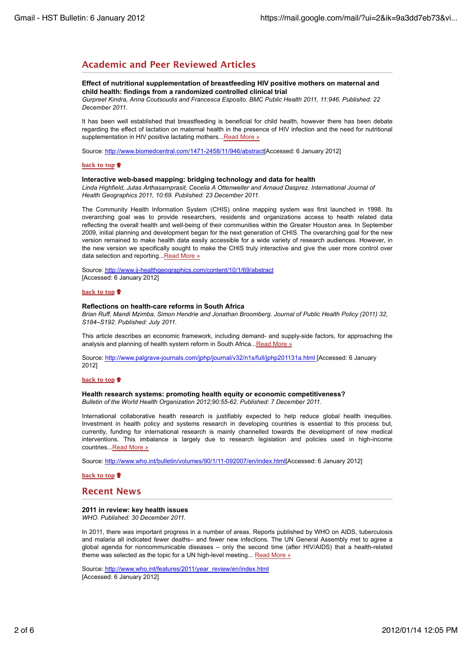# **Academic and Peer Reviewed Articles**

supplementation in HIV positive lactating mothers...Read More »

## **Effect of nutritional supplementation of breastfeeding HIV positive mothers on maternal and child health: findings from a randomized controlled clinical trial** *Gurpreet Kindra, Anna Coutsoudis and Francesca Esposito. BMC Public Health 2011, 11:946. Published: 22*

*December 2011.* It has been well established that breastfeeding is beneficial for child health, however there has been debate regarding the effect of lactation on maternal health in the presence of HIV infection and the need for nutritional

Source: http://www.biomedcentral.com/1471-2458/11/946/abstract[Accessed: 6 January 2012]

#### **back to top**

#### **Interactive web-based mapping: bridging technology and data for health**

*Linda Highfield, Jutas Arthasarnprasit, Cecelia A Ottenweller and Arnaud Dasprez. International Journal of Health Geographics 2011, 10:69. Published: 23 December 2011.*

The Community Health Information System (CHIS) online mapping system was first launched in 1998. Its overarching goal was to provide researchers, residents and organizations access to health related data reflecting the overall health and well-being of their communities within the Greater Houston area. In September 2009, initial planning and development began for the next generation of CHIS. The overarching goal for the new version remained to make health data easily accessible for a wide variety of research audiences. However, in the new version we specifically sought to make the CHIS truly interactive and give the user more control over data selection and reporting. Read More »

Source: http://www.ij-healthgeographics.com/content/10/1/69/abstract [Accessed: 6 January 2012]

#### **back to top**

#### **Reflections on health-care reforms in South Africa**

*Brian Ruff, Mandi Mzimba, Simon Hendrie and Jonathan Broomberg. Journal of Public Health Policy (2011) 32, S184–S192. Published: July 2011.*

This article describes an economic framework, including demand- and supply-side factors, for approaching the analysis and planning of health system reform in South Africa... Read More »

Source: http://www.palgrave-journals.com/jphp/journal/v32/n1s/full/jphp201131a.html [Accessed: 6 January 2012]

#### **back to top**

#### **Health research systems: promoting health equity or economic competitiveness?** *Bulletin of the World Health Organization 2012;90:55-62. Published: 7 December 2011.*

International collaborative health research is justifiably expected to help reduce global health inequities. Investment in health policy and systems research in developing countries is essential to this process but, currently, funding for international research is mainly channelled towards the development of new medical interventions. This imbalance is largely due to research legislation and policies used in high-income countries...Read More »

Source: http://www.who.int/bulletin/volumes/90/1/11-092007/en/index.html[Accessed: 6 January 2012]

**back to top**

# **Recent News**

## **2011 in review: key health issues**

*WHO. Published: 30 December 2011.*

In 2011, there was important progress in a number of areas. Reports published by WHO on AIDS, tuberculosis and malaria all indicated fewer deaths– and fewer new infections. The UN General Assembly met to agree a global agenda for noncommunicable diseases – only the second time (after HIV/AIDS) that a health-related theme was selected as the topic for a UN high-level meeting... Read More »

Source: http://www.who.int/features/2011/year\_review/en/index.html [Accessed: 6 January 2012]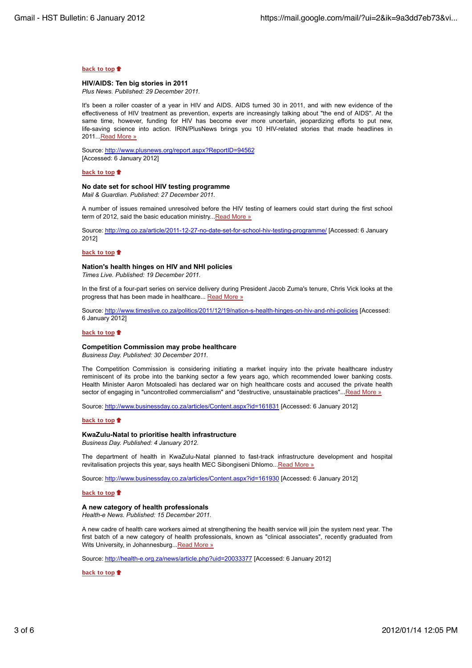#### **back to top**

#### **HIV/AIDS: Ten big stories in 2011**

*Plus News. Published: 29 December 2011.*

It's been a roller coaster of a year in HIV and AIDS. AIDS turned 30 in 2011, and with new evidence of the effectiveness of HIV treatment as prevention, experts are increasingly talking about "the end of AIDS". At the same time, however, funding for HIV has become ever more uncertain, jeopardizing efforts to put new, life-saving science into action. IRIN/PlusNews brings you 10 HIV-related stories that made headlines in 2011. Read More »

Source: http://www.plusnews.org/report.aspx?ReportID=94562 [Accessed: 6 January 2012]

#### **back to top**

## **No date set for school HIV testing programme**

*Mail & Guardian. Published: 27 December 2011.*

A number of issues remained unresolved before the HIV testing of learners could start during the first school term of 2012, said the basic education ministry... Read More »

Source: http://mg.co.za/article/2011-12-27-no-date-set-for-school-hiv-testing-programme/ [Accessed: 6 January 2012]

### **back to top**

# **Nation's health hinges on HIV and NHI policies**

*Times Live. Published: 19 December 2011.*

In the first of a four-part series on service delivery during President Jacob Zuma's tenure, Chris Vick looks at the progress that has been made in healthcare... Read More »

Source: http://www.timeslive.co.za/politics/2011/12/19/nation-s-health-hinges-on-hiv-and-nhi-policies [Accessed: 6 January 2012]

#### **back to top**

#### **Competition Commission may probe healthcare**

*Business Day. Published: 30 December 2011.*

The Competition Commission is considering initiating a market inquiry into the private healthcare industry reminiscent of its probe into the banking sector a few years ago, which recommended lower banking costs. Health Minister Aaron Motsoaledi has declared war on high healthcare costs and accused the private health sector of engaging in "uncontrolled commercialism" and "destructive, unsustainable practices"...Read More »

Source: http://www.businessday.co.za/articles/Content.aspx?id=161831 [Accessed: 6 January 2012]

## **back to top**

# **KwaZulu-Natal to prioritise health infrastructure**

*Business Day. Published: 4 January 2012.*

The department of health in KwaZulu-Natal planned to fast-track infrastructure development and hospital revitalisation projects this year, says health MEC Sibongiseni Dhlomo... Read More »

Source: http://www.businessday.co.za/articles/Content.aspx?id=161930 [Accessed: 6 January 2012]

#### **back to top**

### **A new category of health professionals**

*Health-e News. Published: 15 December 2011.*

A new cadre of health care workers aimed at strengthening the health service will join the system next year. The first batch of a new category of health professionals, known as "clinical associates", recently graduated from Wits University, in Johannesburg...Read More »

Source: http://health-e.org.za/news/article.php?uid=20033377 [Accessed: 6 January 2012]

## **back to top**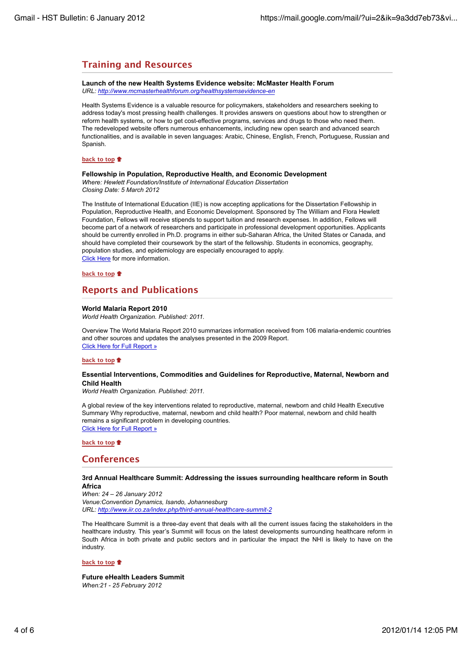# **Training and Resources**

**Launch of the new Health Systems Evidence website: McMaster Health Forum** *URL: http://www.mcmasterhealthforum.org/healthsystemsevidence-en*

Health Systems Evidence is a valuable resource for policymakers, stakeholders and researchers seeking to address today's most pressing health challenges. It provides answers on questions about how to strengthen or reform health systems, or how to get cost-effective programs, services and drugs to those who need them. The redeveloped website offers numerous enhancements, including new open search and advanced search functionalities, and is available in seven languages: Arabic, Chinese, English, French, Portuguese, Russian and Spanish.

### **back to top**

#### **Fellowship in Population, Reproductive Health, and Economic Development**

*Where: Hewlett Foundation/Institute of International Education Dissertation Closing Date: 5 March 2012*

The Institute of International Education (IIE) is now accepting applications for the Dissertation Fellowship in Population, Reproductive Health, and Economic Development. Sponsored by The William and Flora Hewlett Foundation, Fellows will receive stipends to support tuition and research expenses. In addition, Fellows will become part of a network of researchers and participate in professional development opportunities. Applicants should be currently enrolled in Ph.D. programs in either sub-Saharan Africa, the United States or Canada, and should have completed their coursework by the start of the fellowship. Students in economics, geography, population studies, and epidemiology are especially encouraged to apply. Click Here for more information.

# **back to top**

# **Reports and Publications**

# **World Malaria Report 2010**

*World Health Organization. Published: 2011.*

Overview The World Malaria Report 2010 summarizes information received from 106 malaria-endemic countries and other sources and updates the analyses presented in the 2009 Report. Click Here for Full Report »

## **back to top**

## **Essential Interventions, Commodities and Guidelines for Reproductive, Maternal, Newborn and Child Health**

*World Health Organization. Published: 2011.*

A global review of the key interventions related to reproductive, maternal, newborn and child Health Executive Summary Why reproductive, maternal, newborn and child health? Poor maternal, newborn and child health remains a significant problem in developing countries. Click Here for Full Report »

#### **back to top**

# **Conferences**

#### **3rd Annual Healthcare Summit: Addressing the issues surrounding healthcare reform in South Africa**

*When: 24 – 26 January 2012 Venue:Convention Dynamics, Isando, Johannesburg URL: http://www.iir.co.za/index.php/third-annual-healthcare-summit-2*

The Healthcare Summit is a three-day event that deals with all the current issues facing the stakeholders in the healthcare industry. This year's Summit will focus on the latest developments surrounding healthcare reform in South Africa in both private and public sectors and in particular the impact the NHI is likely to have on the industry.

#### **back to top**

**Future eHealth Leaders Summit** *When:21 - 25 February 2012*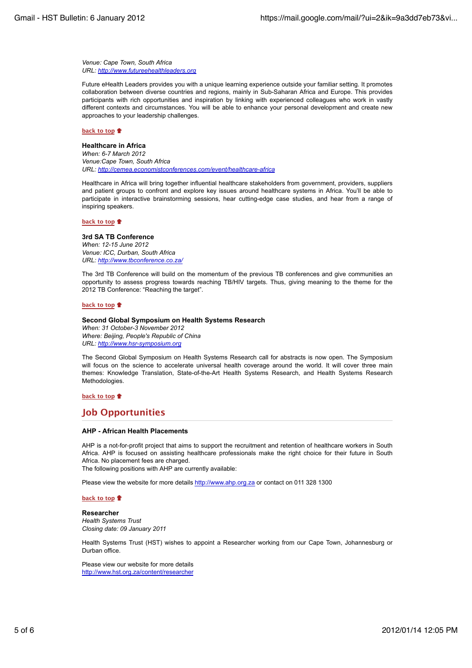*Venue: Cape Town, South Africa URL: http://www.futureehealthleaders.org*

Future eHealth Leaders provides you with a unique learning experience outside your familiar setting. It promotes collaboration between diverse countries and regions, mainly in Sub-Saharan Africa and Europe. This provides participants with rich opportunities and inspiration by linking with experienced colleagues who work in vastly different contexts and circumstances. You will be able to enhance your personal development and create new approaches to your leadership challenges.

#### **back to top**

#### **Healthcare in Africa**

*When: 6-7 March 2012 Venue:Cape Town, South Africa URL: http://cemea.economistconferences.com/event/healthcare-africa*

Healthcare in Africa will bring together influential healthcare stakeholders from government, providers, suppliers and patient groups to confront and explore key issues around healthcare systems in Africa. You'll be able to participate in interactive brainstorming sessions, hear cutting-edge case studies, and hear from a range of inspiring speakers.

### **back to top**

#### **3rd SA TB Conference**

*When: 12-15 June 2012 Venue: ICC, Durban, South Africa URL: http://www.tbconference.co.za/*

The 3rd TB Conference will build on the momentum of the previous TB conferences and give communities an opportunity to assess progress towards reaching TB/HIV targets. Thus, giving meaning to the theme for the 2012 TB Conference: "Reaching the target".

#### **back to top**

#### **Second Global Symposium on Health Systems Research**

*When: 31 October-3 November 2012 Where: Beijing, People's Republic of China URL: http://www.hsr-symposium.org*

The Second Global Symposium on Health Systems Research call for abstracts is now open. The Symposium will focus on the science to accelerate universal health coverage around the world. It will cover three main themes: Knowledge Translation, State-of-the-Art Health Systems Research, and Health Systems Research Methodologies.

## **back to top**

# **Job Opportunities**

#### **AHP - African Health Placements**

AHP is a not-for-profit project that aims to support the recruitment and retention of healthcare workers in South Africa. AHP is focused on assisting healthcare professionals make the right choice for their future in South Africa. No placement fees are charged.

The following positions with AHP are currently available:

Please view the website for more details http://www.ahp.org.za or contact on 011 328 1300

#### **back to top**

#### **Researcher**

*Health Systems Trust Closing date: 09 January 2011*

Health Systems Trust (HST) wishes to appoint a Researcher working from our Cape Town, Johannesburg or Durban office.

Please view our website for more details http://www.hst.org.za/content/researcher